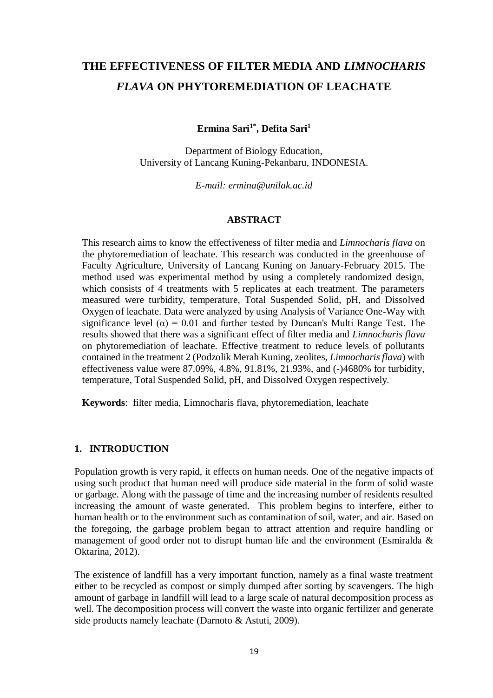# **THE EFFECTIVENESS OF FILTER MEDIA AND** *LIMNOCHARIS FLAVA* **ON PHYTOREMEDIATION OF LEACHATE**

**Ermina Sari1\* , Defita Sari<sup>1</sup>**

Department of Biology Education, University of Lancang Kuning-Pekanbaru, INDONESIA.

*E-mail: [ermina@unilak.ac.id](mailto:ermina@unilak.ac.id)*

#### **ABSTRACT**

This research aims to know the effectiveness of filter media and *Limnocharis flava* on the phytoremediation of leachate. This research was conducted in the greenhouse of Faculty Agriculture, University of Lancang Kuning on January-February 2015. The method used was experimental method by using a completely randomized design, which consists of 4 treatments with 5 replicates at each treatment. The parameters measured were turbidity, temperature, Total Suspended Solid, pH, and Dissolved Oxygen of leachate. Data were analyzed by using Analysis of Variance One-Way with significance level ( $\alpha$ ) = 0.01 and further tested by Duncan's Multi Range Test. The results showed that there was a significant effect of filter media and *Limnocharis flava* on phytoremediation of leachate. Effective treatment to reduce levels of pollutants contained in the treatment 2 (Podzolik Merah Kuning, zeolites, *Limnocharis flava*) with effectiveness value were 87.09%, 4.8%, 91.81%, 21.93%, and (-)4680% for turbidity, temperature, Total Suspended Solid, pH, and Dissolved Oxygen respectively.

**Keywords**: filter media, Limnocharis flava, phytoremediation, leachate

#### **1. INTRODUCTION**

Population growth is very rapid, it effects on human needs. One of the negative impacts of using such product that human need will produce side material in the form of solid waste or garbage. Along with the passage of time and the increasing number of residents resulted increasing the amount of waste generated. This problem begins to interfere, either to human health or to the environment such as contamination of soil, water, and air. Based on the foregoing, the garbage problem began to attract attention and require handling or management of good order not to disrupt human life and the environment (Esmiralda & Oktarina, 2012).

The existence of landfill has a very important function, namely as a final waste treatment either to be recycled as compost or simply dumped after sorting by scavengers. The high amount of garbage in landfill will lead to a large scale of natural decomposition process as well. The decomposition process will convert the waste into organic fertilizer and generate side products namely leachate (Darnoto & Astuti, 2009).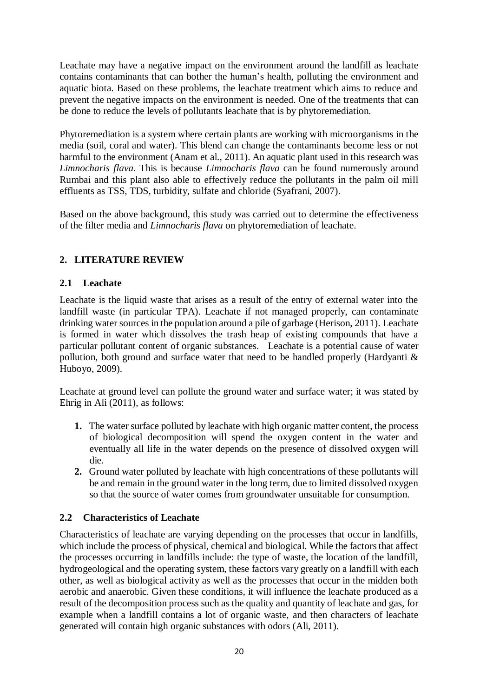Leachate may have a negative impact on the environment around the landfill as leachate contains contaminants that can bother the human's health, polluting the environment and aquatic biota. Based on these problems, the leachate treatment which aims to reduce and prevent the negative impacts on the environment is needed. One of the treatments that can be done to reduce the levels of pollutants leachate that is by phytoremediation.

Phytoremediation is a system where certain plants are working with microorganisms in the media (soil, coral and water). This blend can change the contaminants become less or not harmful to the environment (Anam et al., 2011). An aquatic plant used in this research was *Limnocharis flava*. This is because *Limnocharis flava* can be found numerously around Rumbai and this plant also able to effectively reduce the pollutants in the palm oil mill effluents as TSS, TDS, turbidity, sulfate and chloride (Syafrani, 2007).

Based on the above background, this study was carried out to determine the effectiveness of the filter media and *Limnocharis flava* on phytoremediation of leachate.

# **2. LITERATURE REVIEW**

## **2.1 Leachate**

Leachate is the liquid waste that arises as a result of the entry of external water into the landfill waste (in particular TPA). Leachate if not managed properly, can contaminate drinking water sources in the population around a pile of garbage (Herison, 2011). Leachate is formed in water which dissolves the trash heap of existing compounds that have a particular pollutant content of organic substances. Leachate is a potential cause of water pollution, both ground and surface water that need to be handled properly (Hardyanti & Huboyo, 2009).

Leachate at ground level can pollute the ground water and surface water; it was stated by Ehrig in Ali (2011), as follows:

- **1.** The water surface polluted by leachate with high organic matter content, the process of biological decomposition will spend the oxygen content in the water and eventually all life in the water depends on the presence of dissolved oxygen will die.
- **2.** Ground water polluted by leachate with high concentrations of these pollutants will be and remain in the ground water in the long term, due to limited dissolved oxygen so that the source of water comes from groundwater unsuitable for consumption.

# **2.2 Characteristics of Leachate**

Characteristics of leachate are varying depending on the processes that occur in landfills, which include the process of physical, chemical and biological. While the factors that affect the processes occurring in landfills include: the type of waste, the location of the landfill, hydrogeological and the operating system, these factors vary greatly on a landfill with each other, as well as biological activity as well as the processes that occur in the midden both aerobic and anaerobic. Given these conditions, it will influence the leachate produced as a result of the decomposition process such as the quality and quantity of leachate and gas, for example when a landfill contains a lot of organic waste, and then characters of leachate generated will contain high organic substances with odors (Ali, 2011).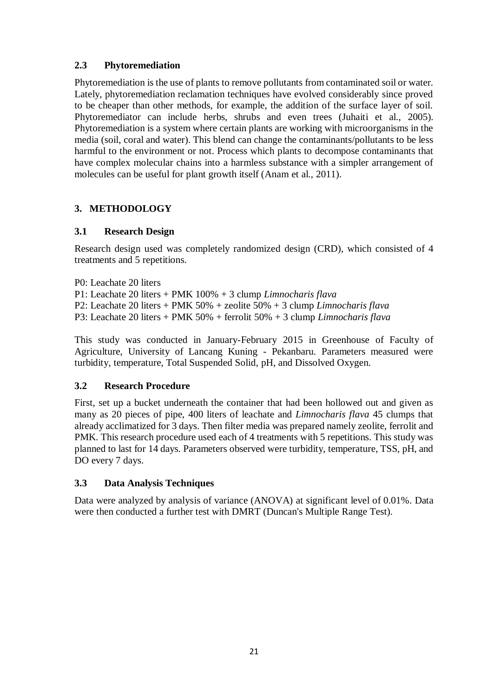## **2.3 Phytoremediation**

Phytoremediation is the use of plants to remove pollutants from contaminated soil or water. Lately, phytoremediation reclamation techniques have evolved considerably since proved to be cheaper than other methods, for example, the addition of the surface layer of soil. Phytoremediator can include herbs, shrubs and even trees (Juhaiti et al., 2005). Phytoremediation is a system where certain plants are working with microorganisms in the media (soil, coral and water). This blend can change the contaminants/pollutants to be less harmful to the environment or not. Process which plants to decompose contaminants that have complex molecular chains into a harmless substance with a simpler arrangement of molecules can be useful for plant growth itself (Anam et al., 2011).

# **3. METHODOLOGY**

## **3.1 Research Design**

Research design used was completely randomized design (CRD), which consisted of 4 treatments and 5 repetitions.

P0: Leachate 20 liters P1: Leachate 20 liters + PMK 100% + 3 clump *Limnocharis flava* P2: Leachate 20 liters + PMK 50% + zeolite 50% + 3 clump *Limnocharis flava* P3: Leachate 20 liters + PMK 50% + ferrolit 50% + 3 clump *Limnocharis flava*

This study was conducted in January-February 2015 in Greenhouse of Faculty of Agriculture, University of Lancang Kuning - Pekanbaru. Parameters measured were turbidity, temperature, Total Suspended Solid, pH, and Dissolved Oxygen.

## **3.2 Research Procedure**

First, set up a bucket underneath the container that had been hollowed out and given as many as 20 pieces of pipe, 400 liters of leachate and *Limnocharis flava* 45 clumps that already acclimatized for 3 days. Then filter media was prepared namely zeolite, ferrolit and PMK. This research procedure used each of 4 treatments with 5 repetitions. This study was planned to last for 14 days. Parameters observed were turbidity, temperature, TSS, pH, and DO every 7 days.

## **3.3 Data Analysis Techniques**

Data were analyzed by analysis of variance (ANOVA) at significant level of 0.01%. Data were then conducted a further test with DMRT (Duncan's Multiple Range Test).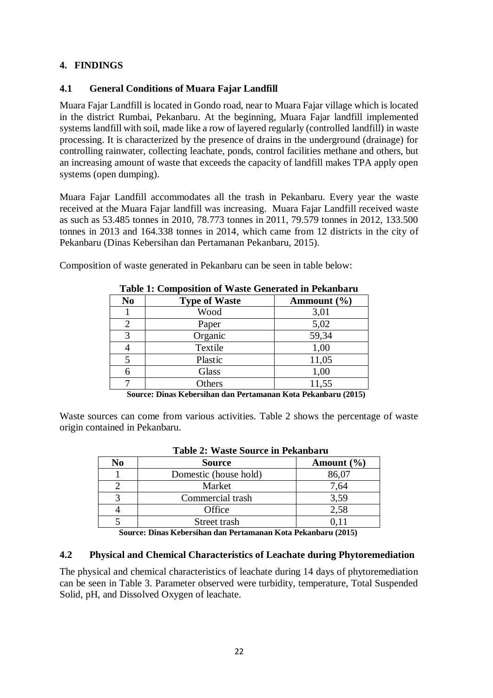## **4. FINDINGS**

## **4.1 General Conditions of Muara Fajar Landfill**

Muara Fajar Landfill is located in Gondo road, near to Muara Fajar village which is located in the district Rumbai, Pekanbaru. At the beginning, Muara Fajar landfill implemented systems landfill with soil, made like a row of layered regularly (controlled landfill) in waste processing. It is characterized by the presence of drains in the underground (drainage) for controlling rainwater, collecting leachate, ponds, control facilities methane and others, but an increasing amount of waste that exceeds the capacity of landfill makes TPA apply open systems (open dumping).

Muara Fajar Landfill accommodates all the trash in Pekanbaru. Every year the waste received at the Muara Fajar landfill was increasing. Muara Fajar Landfill received waste as such as 53.485 tonnes in 2010, 78.773 tonnes in 2011, 79.579 tonnes in 2012, 133.500 tonnes in 2013 and 164.338 tonnes in 2014, which came from 12 districts in the city of Pekanbaru (Dinas Kebersihan dan Pertamanan Pekanbaru, 2015).

Composition of waste generated in Pekanbaru can be seen in table below:

|        | Table 1. Composition of waste Generated in I ckanbaru                |                                        |  |  |  |  |  |  |
|--------|----------------------------------------------------------------------|----------------------------------------|--|--|--|--|--|--|
| No     | <b>Type of Waste</b>                                                 | Ammount $(\% )$                        |  |  |  |  |  |  |
|        | Wood                                                                 | 3,01                                   |  |  |  |  |  |  |
| 2      | Paper                                                                | 5,02                                   |  |  |  |  |  |  |
| 3      | Organic                                                              | 59,34                                  |  |  |  |  |  |  |
|        | Textile                                                              | 1,00                                   |  |  |  |  |  |  |
| 5      | Plastic                                                              | 11,05                                  |  |  |  |  |  |  |
| 6      | Glass                                                                | 1,00                                   |  |  |  |  |  |  |
|        | Others                                                               | 11,55                                  |  |  |  |  |  |  |
| $\sim$ | $ \cdot$<br>$\overline{\phantom{a}}$<br>-- -<br>$\sim$ $\sim$ $\sim$ | -- -<br>$\lambda$ and $\lambda$<br>--- |  |  |  |  |  |  |

**Table 1: Composition of Waste Generated in Pekanbaru**

**Source: Dinas Kebersihan dan Pertamanan Kota Pekanbaru (2015)**

Waste sources can come from various activities. Table 2 shows the percentage of waste origin contained in Pekanbaru.

|    | Table 2: Waste Source in Pekandaru |                |  |  |  |  |  |
|----|------------------------------------|----------------|--|--|--|--|--|
| No | <b>Source</b>                      | Amount $(\% )$ |  |  |  |  |  |
|    | Domestic (house hold)              | 86,07          |  |  |  |  |  |
|    | Market                             | 7,64           |  |  |  |  |  |
|    | Commercial trash                   | 3,59           |  |  |  |  |  |
|    | Office                             | 2,58           |  |  |  |  |  |
|    | Street trash                       |                |  |  |  |  |  |

# **Table 2: Waste Source in Pekanbaru**

 **Source: Dinas Kebersihan dan Pertamanan Kota Pekanbaru (2015)**

#### **4.2 Physical and Chemical Characteristics of Leachate during Phytoremediation**

The physical and chemical characteristics of leachate during 14 days of phytoremediation can be seen in Table 3. Parameter observed were turbidity, temperature, Total Suspended Solid, pH, and Dissolved Oxygen of leachate.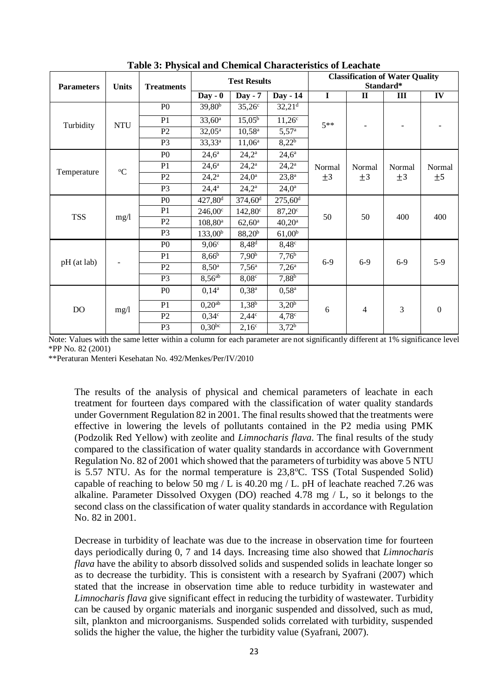| <b>Parameters</b> | <b>Units</b> | <b>Treatments</b> | <b>Test Results</b>    |                       |                       | <b>Classification of Water Quality</b><br>Standard* |                   |                   |                  |
|-------------------|--------------|-------------------|------------------------|-----------------------|-----------------------|-----------------------------------------------------|-------------------|-------------------|------------------|
|                   |              |                   | $Day - 0$              | Day - 7               | Day - 14              | $\mathbf I$                                         | $\mathbf{I}$      | $\mathbf{I}$      | IV               |
| Turbidity         | <b>NTU</b>   | P <sub>0</sub>    | $39,80^{b}$            | $35,26^{\circ}$       | 32,21 <sup>d</sup>    | $5**$                                               |                   |                   |                  |
|                   |              | P <sub>1</sub>    | $33,60^a$              | $15,05^{\rm b}$       | $11,26^{\circ}$       |                                                     |                   |                   |                  |
|                   |              | P <sub>2</sub>    | $32,05^{\rm a}$        | $10,58^{\rm a}$       | 5,57 <sup>a</sup>     |                                                     |                   |                   |                  |
|                   |              | P <sub>3</sub>    | $33,33^a$              | $11,06^a$             | $8,22^{b}$            |                                                     |                   |                   |                  |
|                   | $\rm ^{o}C$  | P <sub>0</sub>    | $24,6^{\rm a}$         | $24,2^{\rm a}$        | $24,6^{\rm a}$        | Normal<br>$\pm 3$                                   | Normal<br>$\pm$ 3 | Normal<br>$\pm 3$ | Normal<br>±5     |
|                   |              | P <sub>1</sub>    | $24,6^{\rm a}$         | $24,2^{\rm a}$        | $24,2^{\rm a}$        |                                                     |                   |                   |                  |
| Temperature       |              | P <sub>2</sub>    | $24,2^{\rm a}$         | $24,0^{\rm a}$        | $23,8^{\rm a}$        |                                                     |                   |                   |                  |
|                   |              | P <sub>3</sub>    | $24,4^a$               | $24,2^{\rm a}$        | $24,0^{\rm a}$        |                                                     |                   |                   |                  |
|                   | mg/1         | P <sub>0</sub>    | $427,80$ <sup>d</sup>  | $374,60$ <sup>d</sup> | $275,60$ <sup>d</sup> | 50                                                  | 50                | 400               | 400              |
|                   |              | P <sub>1</sub>    | $246,00^{\circ}$       | $142,80^{\circ}$      | $87,20^{\circ}$       |                                                     |                   |                   |                  |
| <b>TSS</b>        |              | P <sub>2</sub>    | $108,80^{\rm a}$       | $62,60^{\rm a}$       | $40,20^{\rm a}$       |                                                     |                   |                   |                  |
|                   |              | P <sub>3</sub>    | 133,00 <sup>b</sup>    | $88,20^{b}$           | $61,00^{\rm b}$       |                                                     |                   |                   |                  |
| pH (at lab)       |              | P <sub>0</sub>    | $9,06^{\circ}$         | $8,48^d$              | $8,48^\circ$          | $6-9$                                               | $6-9$             | $6-9$             | $5-9$            |
|                   |              | P1                | $8,66^{b}$             | 7,90 <sup>b</sup>     | 7,76 <sup>b</sup>     |                                                     |                   |                   |                  |
|                   |              | P <sub>2</sub>    | $8,50^{\rm a}$         | $7,56^{\rm a}$        | $7,26^{\circ}$        |                                                     |                   |                   |                  |
|                   |              | P <sub>3</sub>    | $8,56^{ab}$            | $8,08^\circ$          | $7,88^{b}$            |                                                     |                   |                   |                  |
| <b>DO</b>         | mg/1         | P <sub>0</sub>    | $0,14^a$               | $0,38^{\rm a}$        | $0,58^{\rm a}$        | 6                                                   | $\overline{4}$    | 3                 | $\boldsymbol{0}$ |
|                   |              | P <sub>1</sub>    | $0,20^{\overline{ab}}$ | $1,38^{b}$            | $3,20^{b}$            |                                                     |                   |                   |                  |
|                   |              | P2                | $0,34^\circ$           | $2,44^{\circ}$        | $4,78^\circ$          |                                                     |                   |                   |                  |
|                   |              | P <sub>3</sub>    | $0.30^{bc}$            | $2,16^{\circ}$        | 3,72 <sup>b</sup>     |                                                     |                   |                   |                  |

**Table 3: Physical and Chemical Characteristics of Leachate**

Note: Values with the same letter within a column for each parameter are not significantly different at 1% significance level \*PP No. 82 (2001)

\*\*Peraturan Menteri Kesehatan No. 492/Menkes/Per/IV/2010

The results of the analysis of physical and chemical parameters of leachate in each treatment for fourteen days compared with the classification of water quality standards under Government Regulation 82 in 2001. The final results showed that the treatments were effective in lowering the levels of pollutants contained in the P2 media using PMK (Podzolik Red Yellow) with zeolite and *Limnocharis flava*. The final results of the study compared to the classification of water quality standards in accordance with Government Regulation No. 82 of 2001 which showed that the parameters of turbidity was above 5 NTU is  $5.57$  NTU. As for the normal temperature is  $23,8^{\circ}$ C. TSS (Total Suspended Solid) capable of reaching to below 50 mg / L is 40.20 mg / L. pH of leachate reached 7.26 was alkaline. Parameter Dissolved Oxygen (DO) reached 4.78 mg / L, so it belongs to the second class on the classification of water quality standards in accordance with Regulation No. 82 in 2001.

Decrease in turbidity of leachate was due to the increase in observation time for fourteen days periodically during 0, 7 and 14 days. Increasing time also showed that *Limnocharis flava* have the ability to absorb dissolved solids and suspended solids in leachate longer so as to decrease the turbidity. This is consistent with a research by Syafrani (2007) which stated that the increase in observation time able to reduce turbidity in wastewater and *Limnocharis flava* give significant effect in reducing the turbidity of wastewater. Turbidity can be caused by organic materials and inorganic suspended and dissolved, such as mud, silt, plankton and microorganisms. Suspended solids correlated with turbidity, suspended solids the higher the value, the higher the turbidity value (Syafrani, 2007).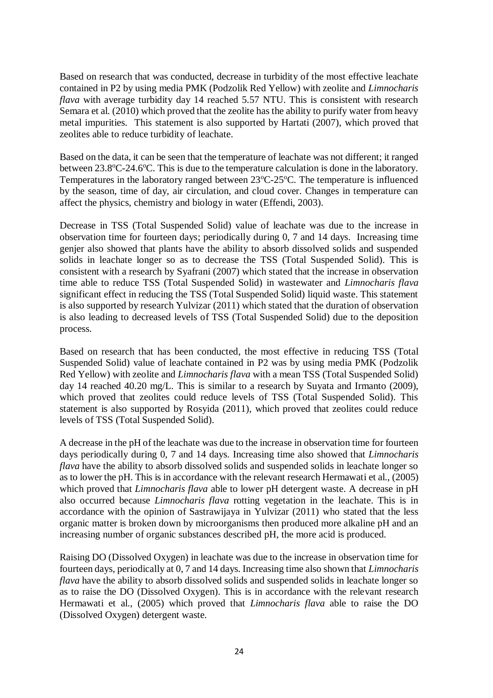Based on research that was conducted, decrease in turbidity of the most effective leachate contained in P2 by using media PMK (Podzolik Red Yellow) with zeolite and *Limnocharis flava* with average turbidity day 14 reached 5.57 NTU. This is consistent with research Semara et al. (2010) which proved that the zeolite has the ability to purify water from heavy metal impurities. This statement is also supported by Hartati (2007), which proved that zeolites able to reduce turbidity of leachate.

Based on the data, it can be seen that the temperature of leachate was not different; it ranged between 23.8°C-24.6°C. This is due to the temperature calculation is done in the laboratory. Temperatures in the laboratory ranged between  $23^{\circ}$ C-25<sup>o</sup>C. The temperature is influenced by the season, time of day, air circulation, and cloud cover. Changes in temperature can affect the physics, chemistry and biology in water (Effendi, 2003).

Decrease in TSS (Total Suspended Solid) value of leachate was due to the increase in observation time for fourteen days; periodically during 0, 7 and 14 days. Increasing time genjer also showed that plants have the ability to absorb dissolved solids and suspended solids in leachate longer so as to decrease the TSS (Total Suspended Solid). This is consistent with a research by Syafrani (2007) which stated that the increase in observation time able to reduce TSS (Total Suspended Solid) in wastewater and *Limnocharis flava* significant effect in reducing the TSS (Total Suspended Solid) liquid waste. This statement is also supported by research Yulvizar (2011) which stated that the duration of observation is also leading to decreased levels of TSS (Total Suspended Solid) due to the deposition process.

Based on research that has been conducted, the most effective in reducing TSS (Total Suspended Solid) value of leachate contained in P2 was by using media PMK (Podzolik Red Yellow) with zeolite and *Limnocharis flava* with a mean TSS (Total Suspended Solid) day 14 reached 40.20 mg/L. This is similar to a research by Suyata and Irmanto (2009), which proved that zeolites could reduce levels of TSS (Total Suspended Solid). This statement is also supported by Rosyida (2011), which proved that zeolites could reduce levels of TSS (Total Suspended Solid).

A decrease in the pH of the leachate was due to the increase in observation time for fourteen days periodically during 0, 7 and 14 days. Increasing time also showed that *Limnocharis flava* have the ability to absorb dissolved solids and suspended solids in leachate longer so as to lower the pH. This is in accordance with the relevant research Hermawati et al., (2005) which proved that *Limnocharis flava* able to lower pH detergent waste. A decrease in pH also occurred because *Limnocharis flava* rotting vegetation in the leachate. This is in accordance with the opinion of Sastrawijaya in Yulvizar (2011) who stated that the less organic matter is broken down by microorganisms then produced more alkaline pH and an increasing number of organic substances described pH, the more acid is produced.

Raising DO (Dissolved Oxygen) in leachate was due to the increase in observation time for fourteen days, periodically at 0, 7 and 14 days. Increasing time also shown that *Limnocharis flava* have the ability to absorb dissolved solids and suspended solids in leachate longer so as to raise the DO (Dissolved Oxygen). This is in accordance with the relevant research Hermawati et al., (2005) which proved that *Limnocharis flava* able to raise the DO (Dissolved Oxygen) detergent waste.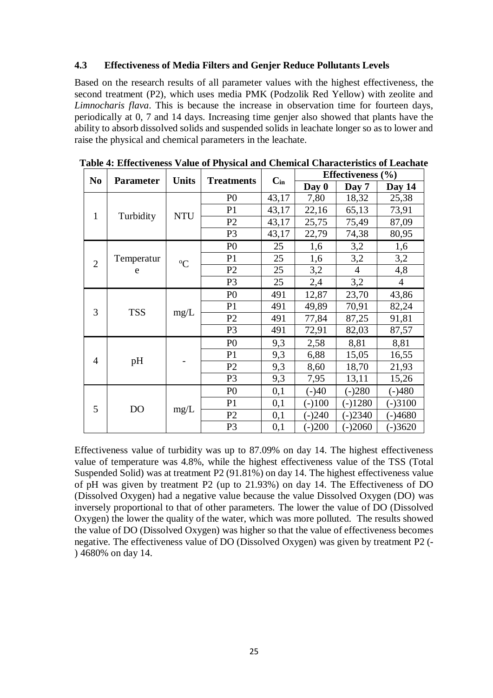#### **4.3 Effectiveness of Media Filters and Genjer Reduce Pollutants Levels**

Based on the research results of all parameter values with the highest effectiveness, the second treatment (P2), which uses media PMK (Podzolik Red Yellow) with zeolite and *Limnocharis flava*. This is because the increase in observation time for fourteen days, periodically at 0, 7 and 14 days. Increasing time genjer also showed that plants have the ability to absorb dissolved solids and suspended solids in leachate longer so as to lower and raise the physical and chemical parameters in the leachate.

| N <sub>0</sub> | <b>Parameter</b> | <b>Units</b>  | <b>Treatments</b> |          | Effectiveness $(\% )$ |                |                |  |
|----------------|------------------|---------------|-------------------|----------|-----------------------|----------------|----------------|--|
|                |                  |               |                   | $C_{in}$ | Day 0                 | Day 7          | Day 14         |  |
|                | Turbidity        | <b>NTU</b>    | P <sub>0</sub>    | 43,17    | 7,80                  | 18,32          | 25,38          |  |
| $\mathbf{1}$   |                  |               | P <sub>1</sub>    | 43,17    | 22,16                 | 65,13          | 73,91          |  |
|                |                  |               | P <sub>2</sub>    | 43,17    | 25,75                 | 75,49          | 87,09          |  |
|                |                  |               | P <sub>3</sub>    | 43,17    | 22,79                 | 74,38          | 80,95          |  |
| $\overline{2}$ | Temperatur<br>e  | ${}^{\circ}C$ | P <sub>0</sub>    | 25       | 1,6                   | 3,2            | 1,6            |  |
|                |                  |               | P <sub>1</sub>    | 25       | 1,6                   | 3,2            | 3,2            |  |
|                |                  |               | P <sub>2</sub>    | 25       | 3,2                   | $\overline{4}$ | 4,8            |  |
|                |                  |               | P <sub>3</sub>    | 25       | 2,4                   | 3,2            | $\overline{4}$ |  |
| 3              | <b>TSS</b>       | mg/L          | P <sub>0</sub>    | 491      | 12,87                 | 23,70          | 43,86          |  |
|                |                  |               | P <sub>1</sub>    | 491      | 49,89                 | 70,91          | 82,24          |  |
|                |                  |               | P <sub>2</sub>    | 491      | 77,84                 | 87,25          | 91,81          |  |
|                |                  |               | P <sub>3</sub>    | 491      | 72,91                 | 82,03          | 87,57          |  |
| $\overline{4}$ | pH               |               | P <sub>0</sub>    | 9,3      | 2,58                  | 8,81           | 8,81           |  |
|                |                  |               | P <sub>1</sub>    | 9,3      | 6,88                  | 15,05          | 16,55          |  |
|                |                  |               | P <sub>2</sub>    | 9,3      | 8,60                  | 18,70          | 21,93          |  |
|                |                  |               | P <sub>3</sub>    | 9,3      | 7,95                  | 13,11          | 15,26          |  |
|                | DO               | mg/L          | P <sub>0</sub>    | 0,1      | $(-)40$               | $(-)280$       | $(-)480$       |  |
| 5              |                  |               | P <sub>1</sub>    | 0,1      | $(-)100$              | $(-)1280$      | $(-)3100$      |  |
|                |                  |               | P <sub>2</sub>    | 0,1      | $(-)240$              | $(-)2340$      | $(-)4680$      |  |
|                |                  |               | P <sub>3</sub>    | 0,1      | $(-)200$              | $(-)2060$      | $(-)3620$      |  |

**Table 4: Effectiveness Value of Physical and Chemical Characteristics of Leachate**

Effectiveness value of turbidity was up to 87.09% on day 14. The highest effectiveness value of temperature was 4.8%, while the highest effectiveness value of the TSS (Total Suspended Solid) was at treatment P2 (91.81%) on day 14. The highest effectiveness value of pH was given by treatment P2 (up to 21.93%) on day 14. The Effectiveness of DO (Dissolved Oxygen) had a negative value because the value Dissolved Oxygen (DO) was inversely proportional to that of other parameters. The lower the value of DO (Dissolved Oxygen) the lower the quality of the water, which was more polluted. The results showed the value of DO (Dissolved Oxygen) was higher so that the value of effectiveness becomes negative. The effectiveness value of DO (Dissolved Oxygen) was given by treatment P2 (- ) 4680% on day 14.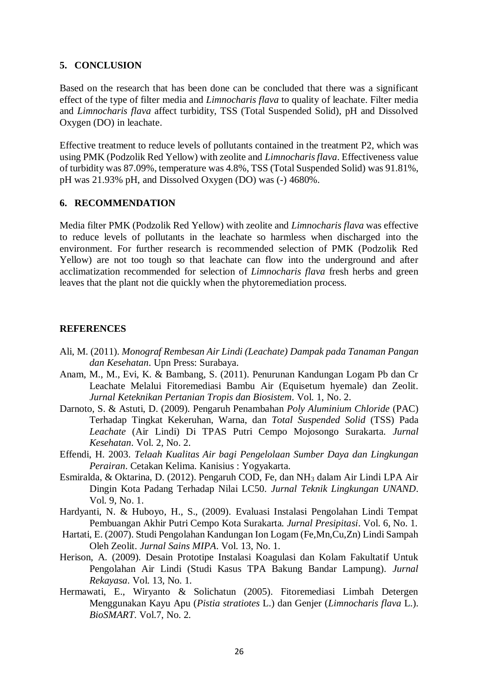#### **5. CONCLUSION**

Based on the research that has been done can be concluded that there was a significant effect of the type of filter media and *Limnocharis flava* to quality of leachate. Filter media and *Limnocharis flava* affect turbidity, TSS (Total Suspended Solid), pH and Dissolved Oxygen (DO) in leachate.

Effective treatment to reduce levels of pollutants contained in the treatment P2, which was using PMK (Podzolik Red Yellow) with zeolite and *Limnocharis flava*. Effectiveness value of turbidity was 87.09%, temperature was 4.8%, TSS (Total Suspended Solid) was 91.81%, pH was 21.93% pH, and Dissolved Oxygen (DO) was (-) 4680%.

#### **6. RECOMMENDATION**

Media filter PMK (Podzolik Red Yellow) with zeolite and *Limnocharis flava* was effective to reduce levels of pollutants in the leachate so harmless when discharged into the environment. For further research is recommended selection of PMK (Podzolik Red Yellow) are not too tough so that leachate can flow into the underground and after acclimatization recommended for selection of *Limnocharis flava* fresh herbs and green leaves that the plant not die quickly when the phytoremediation process.

#### **REFERENCES**

- Ali, M. (2011). *Monograf Rembesan Air Lindi (Leachate) Dampak pada Tanaman Pangan dan Kesehatan*. Upn Press: Surabaya.
- Anam, M., M., Evi, K. & Bambang, S. (2011). Penurunan Kandungan Logam Pb dan Cr Leachate Melalui Fitoremediasi Bambu Air (Equisetum hyemale) dan Zeolit. *Jurnal Keteknikan Pertanian Tropis dan Biosistem*. Vol. 1, No. 2.
- Darnoto, S. & Astuti, D. (2009). Pengaruh Penambahan *Poly Aluminium Chloride* (PAC) Terhadap Tingkat Kekeruhan, Warna, dan *Total Suspended Solid* (TSS) Pada *Leachate* (Air Lindi) Di TPAS Putri Cempo Mojosongo Surakarta. *Jurnal Kesehatan*. Vol. 2, No. 2.
- Effendi, H. 2003. *Telaah Kualitas Air bagi Pengelolaan Sumber Daya dan Lingkungan Perairan*. Cetakan Kelima. Kanisius : Yogyakarta.
- Esmiralda, & Oktarina, D. (2012). Pengaruh COD, Fe, dan NH<sup>3</sup> dalam Air Lindi LPA Air Dingin Kota Padang Terhadap Nilai LC50. *Jurnal Teknik Lingkungan UNAND*. Vol. 9, No. 1.
- Hardyanti, N. & Huboyo, H., S., (2009). Evaluasi Instalasi Pengolahan Lindi Tempat Pembuangan Akhir Putri Cempo Kota Surakarta. *Jurnal Presipitasi*. Vol. 6, No. 1.
- Hartati, E. (2007). Studi Pengolahan Kandungan Ion Logam (Fe,Mn,Cu,Zn) Lindi Sampah Oleh Zeolit. *Jurnal Sains MIPA*. Vol. 13, No. 1.
- Herison, A. (2009). Desain Prototipe Instalasi Koagulasi dan Kolam Fakultatif Untuk Pengolahan Air Lindi (Studi Kasus TPA Bakung Bandar Lampung). *Jurnal Rekayasa*. Vol. 13, No. 1.
- Hermawati, E., Wiryanto & Solichatun (2005). Fitoremediasi Limbah Detergen Menggunakan Kayu Apu (*Pistia stratiotes* L.) dan Genjer (*Limnocharis flava* L.). *BioSMART*. Vol.7, No. 2.